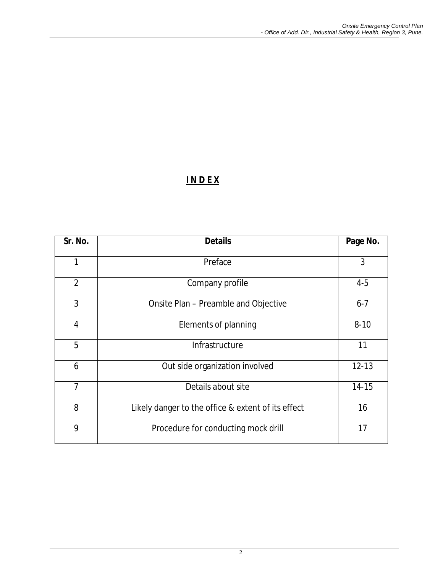# **I N D E X**

| Sr. No.        | <b>Details</b>                                     | Page No.  |
|----------------|----------------------------------------------------|-----------|
| 1              | Preface                                            | 3         |
| $\overline{2}$ | Company profile                                    | $4 - 5$   |
| 3              | Onsite Plan - Preamble and Objective               | $6 - 7$   |
| $\overline{4}$ | Elements of planning                               | $8 - 10$  |
| 5              | Infrastructure                                     | 11        |
| 6              | Out side organization involved                     | $12 - 13$ |
| $\overline{7}$ | Details about site                                 | $14 - 15$ |
| 8              | Likely danger to the office & extent of its effect | 16        |
| 9              | Procedure for conducting mock drill                | 17        |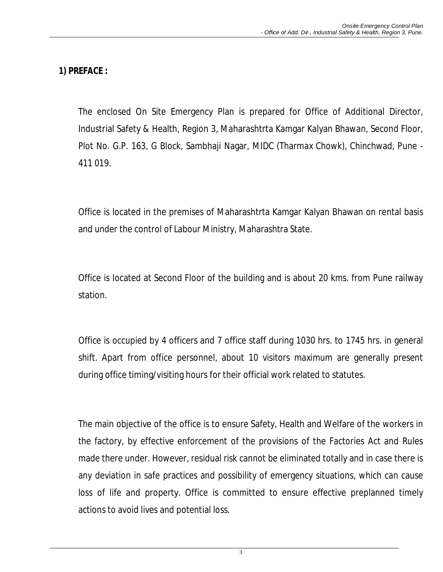# **1) PREFACE :**

The enclosed On Site Emergency Plan is prepared for Office of Additional Director, Industrial Safety & Health, Region 3, Maharashtrta Kamgar Kalyan Bhawan, Second Floor, Plot No. G.P. 163, G Block, Sambhaji Nagar, MIDC (Tharmax Chowk), Chinchwad, Pune - 411 019.

Office is located in the premises of Maharashtrta Kamgar Kalyan Bhawan on rental basis and under the control of Labour Ministry, Maharashtra State.

Office is located at Second Floor of the building and is about 20 kms. from Pune railway station.

Office is occupied by 4 officers and 7 office staff during 1030 hrs. to 1745 hrs. in general shift. Apart from office personnel, about 10 visitors maximum are generally present during office timing/visiting hours for their official work related to statutes.

The main objective of the office is to ensure Safety, Health and Welfare of the workers in the factory, by effective enforcement of the provisions of the Factories Act and Rules made there under. However, residual risk cannot be eliminated totally and in case there is any deviation in safe practices and possibility of emergency situations, which can cause loss of life and property. Office is committed to ensure effective preplanned timely actions to avoid lives and potential loss.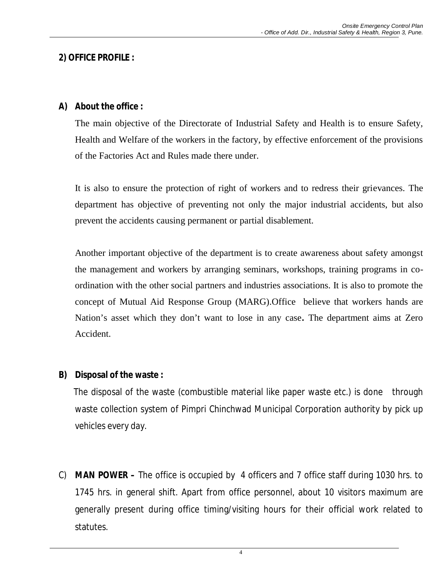### **2) OFFICE PROFILE :**

### **A) About the office :**

The main objective of the Directorate of Industrial Safety and Health is to ensure Safety, Health and Welfare of the workers in the factory, by effective enforcement of the provisions of the Factories Act and Rules made there under.

It is also to ensure the protection of right of workers and to redress their grievances. The department has objective of preventing not only the major industrial accidents, but also prevent the accidents causing permanent or partial disablement.

Another important objective of the department is to create awareness about safety amongst the management and workers by arranging seminars, workshops, training programs in coordination with the other social partners and industries associations. It is also to promote the concept of Mutual Aid Response Group (MARG).Office believe that workers hands are Nation's asset which they don't want to lose in any case**.** The department aims at Zero Accident.

## **B) Disposal of the waste :**

The disposal of the waste (combustible material like paper waste etc.) is done through waste collection system of Pimpri Chinchwad Municipal Corporation authority by pick up vehicles every day.

C) **MAN POWER –** The office is occupied by 4 officers and 7 office staff during 1030 hrs. to 1745 hrs. in general shift. Apart from office personnel, about 10 visitors maximum are generally present during office timing/visiting hours for their official work related to statutes.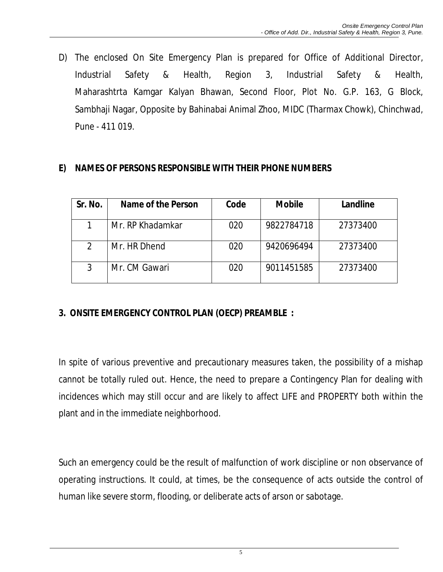D) The enclosed On Site Emergency Plan is prepared for Office of Additional Director, Industrial Safety & Health, Region 3, Industrial Safety & Health, Maharashtrta Kamgar Kalyan Bhawan, Second Floor, Plot No. G.P. 163, G Block, Sambhaji Nagar, Opposite by Bahinabai Animal Zhoo, MIDC (Tharmax Chowk), Chinchwad, Pune - 411 019.

#### **E) NAMES OF PERSONS RESPONSIBLE WITH THEIR PHONE NUMBERS**

| Sr. No.       | Name of the Person | Code | <b>Mobile</b> | Landline |
|---------------|--------------------|------|---------------|----------|
|               | Mr. RP Khadamkar   | 020  | 9822784718    | 27373400 |
| $\mathcal{P}$ | Mr. HR Dhend       | 020  | 9420696494    | 27373400 |
| 3             | Mr. CM Gawari      | 020  | 9011451585    | 27373400 |

## **3. ONSITE EMERGENCY CONTROL PLAN (OECP) PREAMBLE :**

In spite of various preventive and precautionary measures taken, the possibility of a mishap cannot be totally ruled out. Hence, the need to prepare a Contingency Plan for dealing with incidences which may still occur and are likely to affect LIFE and PROPERTY both within the plant and in the immediate neighborhood.

Such an emergency could be the result of malfunction of work discipline or non observance of operating instructions. It could, at times, be the consequence of acts outside the control of human like severe storm, flooding, or deliberate acts of arson or sabotage.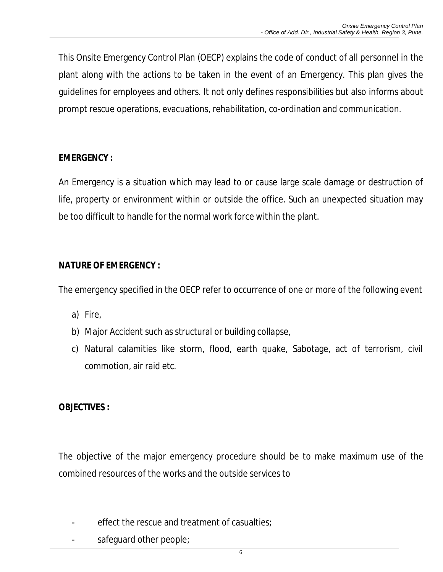This Onsite Emergency Control Plan (OECP) explains the code of conduct of all personnel in the plant along with the actions to be taken in the event of an Emergency. This plan gives the guidelines for employees and others. It not only defines responsibilities but also informs about prompt rescue operations, evacuations, rehabilitation, co-ordination and communication.

## **EMERGENCY :**

An Emergency is a situation which may lead to or cause large scale damage or destruction of life, property or environment within or outside the office. Such an unexpected situation may be too difficult to handle for the normal work force within the plant.

# **NATURE OF EMERGENCY :**

The emergency specified in the OECP refer to occurrence of one or more of the following event

- a) Fire,
- b) Major Accident such as structural or building collapse,
- c) Natural calamities like storm, flood, earth quake, Sabotage, act of terrorism, civil commotion, air raid etc.

# **OBJECTIVES :**

The objective of the major emergency procedure should be to make maximum use of the combined resources of the works and the outside services to

- effect the rescue and treatment of casualties;
- safeguard other people;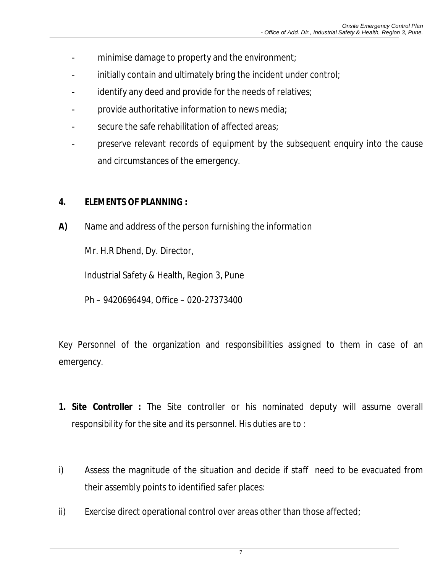- minimise damage to property and the environment;
- initially contain and ultimately bring the incident under control;
- identify any deed and provide for the needs of relatives;
- provide authoritative information to news media;
- secure the safe rehabilitation of affected areas;
- preserve relevant records of equipment by the subsequent enquiry into the cause and circumstances of the emergency.

## **4. ELEMENTS OF PLANNING :**

**A)** Name and address of the person furnishing the information

Mr. H.R Dhend, Dy. Director,

Industrial Safety & Health, Region 3, Pune

Ph – 9420696494, Office – 020-27373400

Key Personnel of the organization and responsibilities assigned to them in case of an emergency.

- **1. Site Controller :** The Site controller or his nominated deputy will assume overall responsibility for the site and its personnel. His duties are to :
- i) Assess the magnitude of the situation and decide if staff need to be evacuated from their assembly points to identified safer places:
- ii) Exercise direct operational control over areas other than those affected;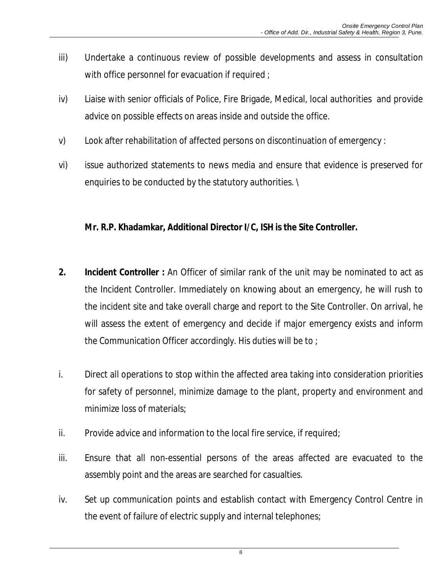- iii) Undertake a continuous review of possible developments and assess in consultation with office personnel for evacuation if required ;
- iv) Liaise with senior officials of Police, Fire Brigade, Medical, local authorities and provide advice on possible effects on areas inside and outside the office.
- v) Look after rehabilitation of affected persons on discontinuation of emergency :
- vi) issue authorized statements to news media and ensure that evidence is preserved for enquiries to be conducted by the statutory authorities. \

#### **Mr. R.P. Khadamkar, Additional Director I/C, ISH is the Site Controller.**

- **2. Incident Controller :** An Officer of similar rank of the unit may be nominated to act as the Incident Controller. Immediately on knowing about an emergency, he will rush to the incident site and take overall charge and report to the Site Controller. On arrival, he will assess the extent of emergency and decide if major emergency exists and inform the Communication Officer accordingly. His duties will be to ;
- i. Direct all operations to stop within the affected area taking into consideration priorities for safety of personnel, minimize damage to the plant, property and environment and minimize loss of materials;
- ii. Provide advice and information to the local fire service, if required;
- iii. Ensure that all non-essential persons of the areas affected are evacuated to the assembly point and the areas are searched for casualties.
- iv. Set up communication points and establish contact with Emergency Control Centre in the event of failure of electric supply and internal telephones;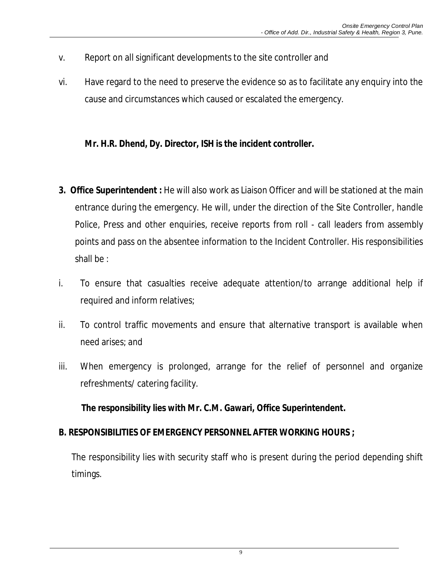- v. Report on all significant developments to the site controller and
- vi. Have regard to the need to preserve the evidence so as to facilitate any enquiry into the cause and circumstances which caused or escalated the emergency.

## **Mr. H.R. Dhend, Dy. Director, ISH is the incident controller.**

- **3. Office Superintendent :** He will also work as Liaison Officer and will be stationed at the main entrance during the emergency. He will, under the direction of the Site Controller, handle Police, Press and other enquiries, receive reports from roll - call leaders from assembly points and pass on the absentee information to the Incident Controller. His responsibilities shall be :
- i. To ensure that casualties receive adequate attention/to arrange additional help if required and inform relatives;
- ii. To control traffic movements and ensure that alternative transport is available when need arises; and
- iii. When emergency is prolonged, arrange for the relief of personnel and organize refreshments/ catering facility.

**The responsibility lies with Mr. C.M. Gawari, Office Superintendent.** 

#### **B. RESPONSIBILITIES OF EMERGENCY PERSONNEL AFTER WORKING HOURS ;**

The responsibility lies with security staff who is present during the period depending shift timings.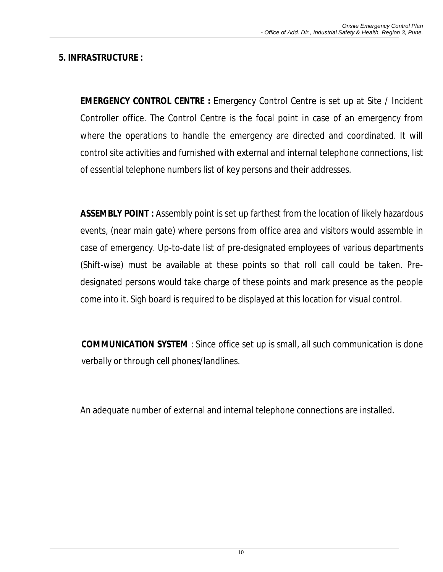## **5. INFRASTRUCTURE :**

**EMERGENCY CONTROL CENTRE :** Emergency Control Centre is set up at Site / Incident Controller office. The Control Centre is the focal point in case of an emergency from where the operations to handle the emergency are directed and coordinated. It will control site activities and furnished with external and internal telephone connections, list of essential telephone numbers list of key persons and their addresses.

**ASSEMBLY POINT :** Assembly point is set up farthest from the location of likely hazardous events, (near main gate) where persons from office area and visitors would assemble in case of emergency. Up-to-date list of pre-designated employees of various departments (Shift-wise) must be available at these points so that roll call could be taken. Predesignated persons would take charge of these points and mark presence as the people come into it. Sigh board is required to be displayed at this location for visual control.

**COMMUNICATION SYSTEM** : Since office set up is small, all such communication is done verbally or through cell phones/landlines.

An adequate number of external and internal telephone connections are installed.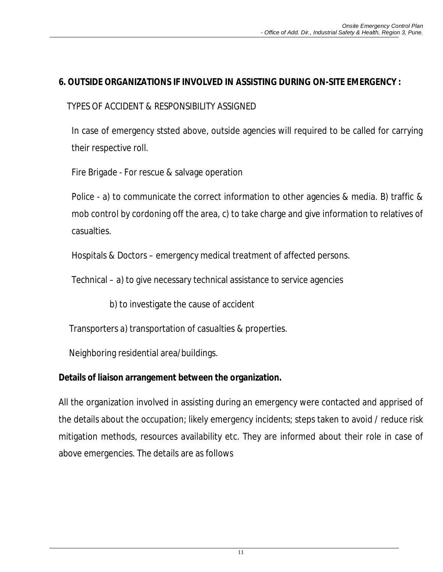## **6. OUTSIDE ORGANIZATIONS IF INVOLVED IN ASSISTING DURING ON-SITE EMERGENCY :**

### TYPES OF ACCIDENT & RESPONSIBILITY ASSIGNED

In case of emergency ststed above, outside agencies will required to be called for carrying their respective roll.

Fire Brigade - For rescue & salvage operation

Police - a) to communicate the correct information to other agencies & media. B) traffic & mob control by cordoning off the area, c) to take charge and give information to relatives of casualties.

Hospitals & Doctors – emergency medical treatment of affected persons.

Technical – a) to give necessary technical assistance to service agencies

b) to investigate the cause of accident

Transporters a) transportation of casualties & properties.

Neighboring residential area/buildings.

#### **Details of liaison arrangement between the organization.**

All the organization involved in assisting during an emergency were contacted and apprised of the details about the occupation; likely emergency incidents; steps taken to avoid / reduce risk mitigation methods, resources availability etc. They are informed about their role in case of above emergencies. The details are as follows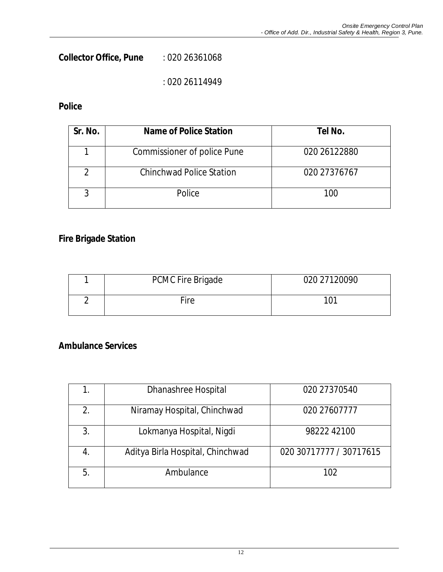**Collector Office, Pune** : 020 26361068

: 020 26114949

### **Police**

| Sr. No. | Name of Police Station          | Tel No.      |
|---------|---------------------------------|--------------|
|         | Commissioner of police Pune     | 020 26122880 |
| າ       | <b>Chinchwad Police Station</b> | 020 27376767 |
|         | Police                          | 100          |

## **Fire Brigade Station**

| <b>PCMC Fire Brigade</b> | 020 27120090 |
|--------------------------|--------------|
| Fire                     | 101          |

#### **Ambulance Services**

|    | Dhanashree Hospital              | 020 27370540            |
|----|----------------------------------|-------------------------|
| 2. | Niramay Hospital, Chinchwad      | 020 27607777            |
| 3. | Lokmanya Hospital, Nigdi         | 98222 42100             |
| 4. | Aditya Birla Hospital, Chinchwad | 020 30717777 / 30717615 |
| 5. | Ambulance                        | 102                     |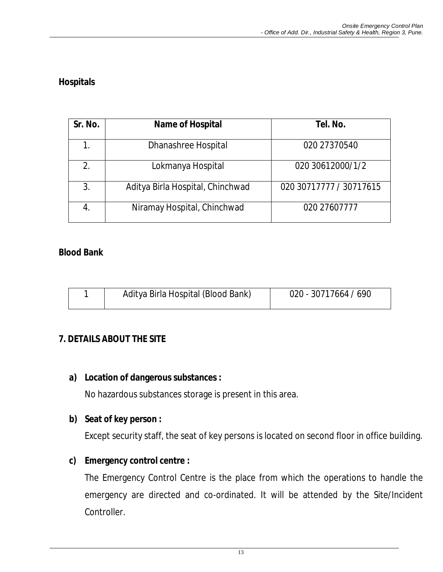## **Hospitals**

| Sr. No. | <b>Name of Hospital</b>          | Tel. No.                |
|---------|----------------------------------|-------------------------|
|         | Dhanashree Hospital              | 020 27370540            |
| 2.      | Lokmanya Hospital                | 020 30612000/1/2        |
| 3.      | Aditya Birla Hospital, Chinchwad | 020 30717777 / 30717615 |
| 4.      | Niramay Hospital, Chinchwad      | 020 27607777            |

#### **Blood Bank**

| Aditya Birla Hospital (Blood Bank) | 020 - 30717664 / 690 |
|------------------------------------|----------------------|
|                                    |                      |

#### **7. DETAILS ABOUT THE SITE**

#### **a) Location of dangerous substances :**

No hazardous substances storage is present in this area.

#### **b) Seat of key person :**

Except security staff, the seat of key persons is located on second floor in office building.

#### **c) Emergency control centre :**

The Emergency Control Centre is the place from which the operations to handle the emergency are directed and co-ordinated. It will be attended by the Site/Incident Controller.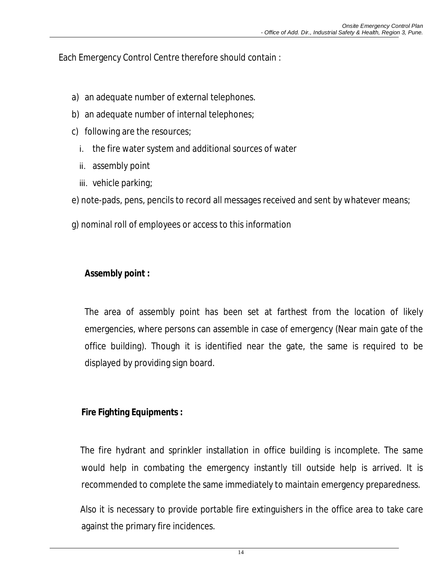Each Emergency Control Centre therefore should contain :

- a) an adequate number of external telephones.
- b) an adequate number of internal telephones;
- c) following are the resources;
	- i. the fire water system and additional sources of water
	- ii. assembly point
	- iii. vehicle parking;

e) note-pads, pens, pencils to record all messages received and sent by whatever means;

g) nominal roll of employees or access to this information

# **Assembly point :**

The area of assembly point has been set at farthest from the location of likely emergencies, where persons can assemble in case of emergency (Near main gate of the office building). Though it is identified near the gate, the same is required to be displayed by providing sign board.

## **Fire Fighting Equipments :**

The fire hydrant and sprinkler installation in office building is incomplete. The same would help in combating the emergency instantly till outside help is arrived. It is recommended to complete the same immediately to maintain emergency preparedness.

Also it is necessary to provide portable fire extinguishers in the office area to take care against the primary fire incidences.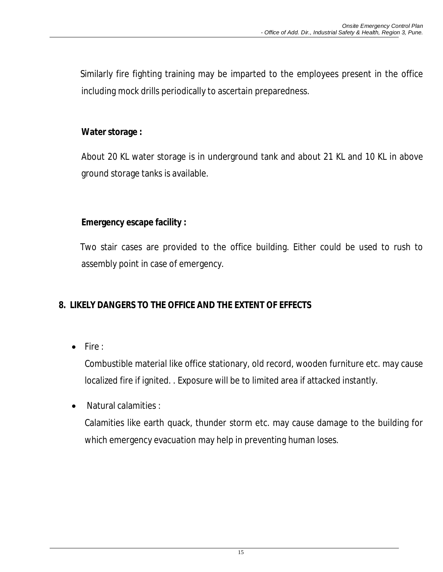Similarly fire fighting training may be imparted to the employees present in the office including mock drills periodically to ascertain preparedness.

### **Water storage :**

About 20 KL water storage is in underground tank and about 21 KL and 10 KL in above ground storage tanks is available.

## **Emergency escape facility :**

Two stair cases are provided to the office building. Either could be used to rush to assembly point in case of emergency.

# **8. LIKELY DANGERS TO THE OFFICE AND THE EXTENT OF EFFECTS**

 $\bullet$  Fire :

Combustible material like office stationary, old record, wooden furniture etc. may cause localized fire if ignited. . Exposure will be to limited area if attacked instantly.

Natural calamities :

Calamities like earth quack, thunder storm etc. may cause damage to the building for which emergency evacuation may help in preventing human loses.